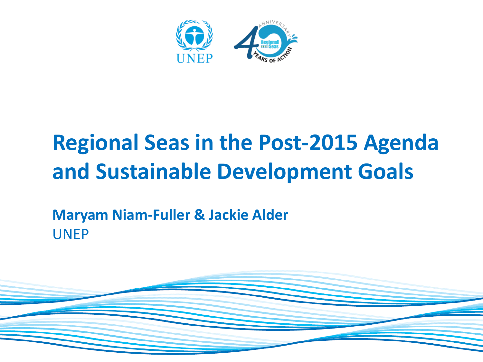

### **Regional Seas in the Post-2015 Agenda and Sustainable Development Goals**

#### **Maryam Niam-Fuller & Jackie Alder** UNEP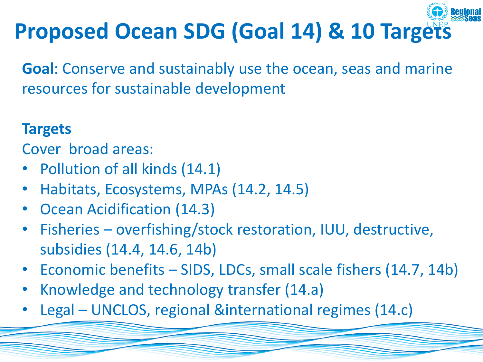

**Goal**: Conserve and sustainably use the ocean, seas and marine resources for sustainable development

#### **Targets**

Cover broad areas:

- Pollution of all kinds (14.1)
- Habitats, Ecosystems, MPAs (14.2, 14.5)
- Ocean Acidification (14.3)
- Fisheries overfishing/stock restoration, IUU, destructive, subsidies (14.4, 14.6, 14b)
- Economic benefits SIDS, LDCs, small scale fishers (14.7, 14b)
- Knowledge and technology transfer (14.a)
- Legal UNCLOS, regional &international regimes (14.c)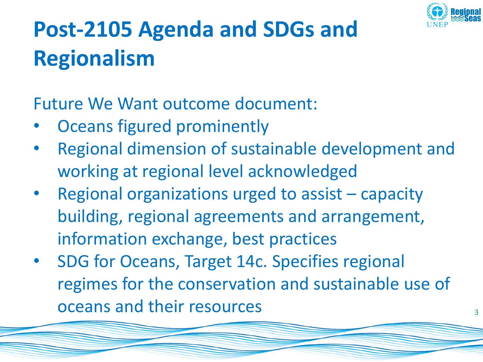

## **Post-2105 Agenda and SDGs and Regionalism**

Future We Want outcome document:

- Oceans figured prominently
- Regional dimension of sustainable development and working at regional level acknowledged
- Regional organizations urged to assist capacity building, regional agreements and arrangement, information exchange, best practices
- SDG for Oceans, Target 14c. Specifies regional regimes for the conservation and sustainable use of oceans and their resources and their  $\frac{3}{3}$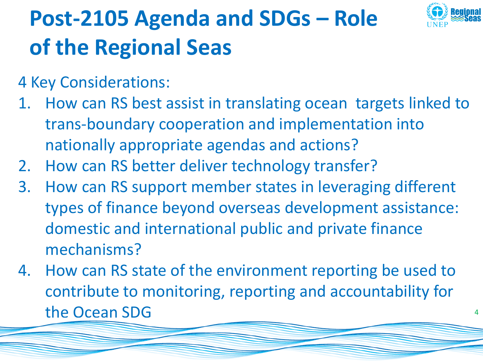

## **Post-2105 Agenda and SDGs – Role of the Regional Seas**

4 Key Considerations:

- 1. How can RS best assist in translating ocean targets linked to trans-boundary cooperation and implementation into nationally appropriate agendas and actions?
- 2. How can RS better deliver technology transfer?
- 3. How can RS support member states in leveraging different types of finance beyond overseas development assistance: domestic and international public and private finance mechanisms?
- 4. How can RS state of the environment reporting be used to contribute to monitoring, reporting and accountability for the Ocean SDG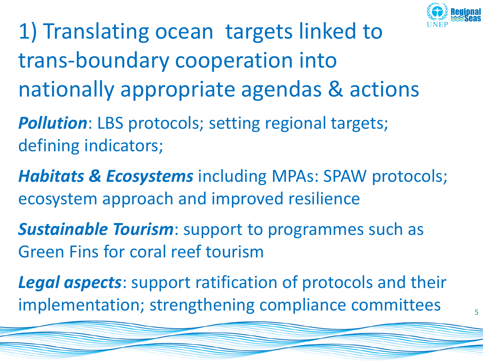

- 1) Translating ocean targets linked to trans-boundary cooperation into nationally appropriate agendas & actions
- *Pollution*: LBS protocols; setting regional targets; defining indicators;
- *Habitats & Ecosystems* including MPAs: SPAW protocols; ecosystem approach and improved resilience
- *Sustainable Tourism*: support to programmes such as Green Fins for coral reef tourism
- *Legal aspects*: support ratification of protocols and their implementation; strengthening compliance committees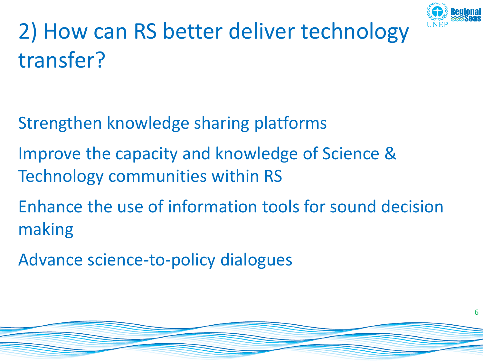

6

# 2) How can RS better deliver technology transfer?

- Strengthen knowledge sharing platforms
- Improve the capacity and knowledge of Science & Technology communities within RS
- Enhance the use of information tools for sound decision making
- Advance science-to-policy dialogues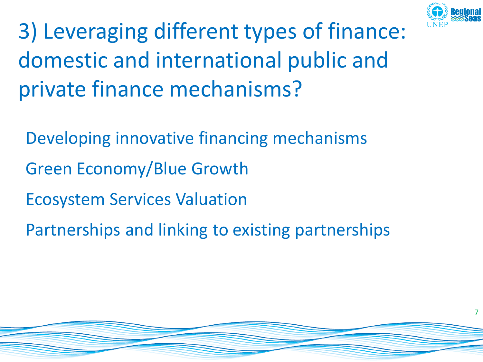

3) Leveraging different types of finance: domestic and international public and private finance mechanisms?

Developing innovative financing mechanisms

- Green Economy/Blue Growth
- Ecosystem Services Valuation
- Partnerships and linking to existing partnerships